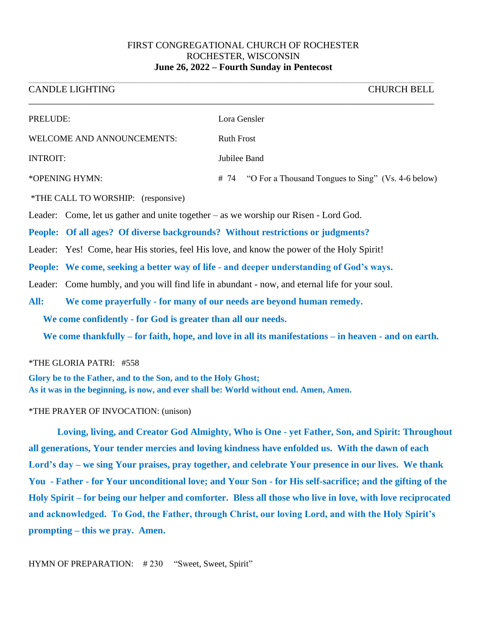## FIRST CONGREGATIONAL CHURCH OF ROCHESTER ROCHESTER, WISCONSIN **June 26, 2022 – Fourth Sunday in Pentecost**

| <b>CANDLE LIGHTING</b>                                                                                                                                  | <b>CHURCH BELL</b>                                                                                                                                                                                 |  |  |  |  |  |  |
|---------------------------------------------------------------------------------------------------------------------------------------------------------|----------------------------------------------------------------------------------------------------------------------------------------------------------------------------------------------------|--|--|--|--|--|--|
| PRELUDE:                                                                                                                                                | Lora Gensler                                                                                                                                                                                       |  |  |  |  |  |  |
| WELCOME AND ANNOUNCEMENTS:                                                                                                                              | <b>Ruth Frost</b>                                                                                                                                                                                  |  |  |  |  |  |  |
| <b>INTROIT:</b>                                                                                                                                         | Jubilee Band                                                                                                                                                                                       |  |  |  |  |  |  |
| *OPENING HYMN:                                                                                                                                          | # 74 "O For a Thousand Tongues to Sing" (Vs. 4-6 below)                                                                                                                                            |  |  |  |  |  |  |
| *THE CALL TO WORSHIP: (responsive)                                                                                                                      |                                                                                                                                                                                                    |  |  |  |  |  |  |
| Leader: Come, let us gather and unite together – as we worship our Risen - Lord God.                                                                    |                                                                                                                                                                                                    |  |  |  |  |  |  |
| People: Of all ages? Of diverse backgrounds? Without restrictions or judgments?                                                                         |                                                                                                                                                                                                    |  |  |  |  |  |  |
|                                                                                                                                                         | Leader: Yes! Come, hear His stories, feel His love, and know the power of the Holy Spirit!                                                                                                         |  |  |  |  |  |  |
|                                                                                                                                                         | People: We come, seeking a better way of life - and deeper understanding of God's ways.                                                                                                            |  |  |  |  |  |  |
|                                                                                                                                                         | Leader: Come humbly, and you will find life in abundant - now, and eternal life for your soul.                                                                                                     |  |  |  |  |  |  |
| All:                                                                                                                                                    | We come prayerfully - for many of our needs are beyond human remedy.                                                                                                                               |  |  |  |  |  |  |
| We come confidently - for God is greater than all our needs.                                                                                            |                                                                                                                                                                                                    |  |  |  |  |  |  |
|                                                                                                                                                         | We come thankfully – for faith, hope, and love in all its manifestations – in heaven - and on earth.                                                                                               |  |  |  |  |  |  |
| *THE GLORIA PATRI: #558                                                                                                                                 |                                                                                                                                                                                                    |  |  |  |  |  |  |
| Glory be to the Father, and to the Son, and to the Holy Ghost;<br>As it was in the beginning, is now, and ever shall be: World without end. Amen, Amen. |                                                                                                                                                                                                    |  |  |  |  |  |  |
| *THE PRAYER OF INVOCATION: (unison)                                                                                                                     |                                                                                                                                                                                                    |  |  |  |  |  |  |
|                                                                                                                                                         | Loving, living, and Creator God Almighty, Who is One - yet Father, Son, and Spirit: Throughout<br>all generations, Your tender mercies and loving kindness have enfolded us. With the dawn of each |  |  |  |  |  |  |

**Lord's day – we sing Your praises, pray together, and celebrate Your presence in our lives. We thank You - Father - for Your unconditional love; and Your Son - for His self-sacrifice; and the gifting of the Holy Spirit – for being our helper and comforter. Bless all those who live in love, with love reciprocated and acknowledged. To God, the Father, through Christ, our loving Lord, and with the Holy Spirit's prompting – this we pray. Amen.**

HYMN OF PREPARATION: #230 "Sweet, Sweet, Spirit"